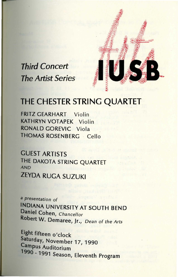

# *Third· Concert The Artist Series*

# THE CHESTER STRING QUARTET

FRITZ GEARHART Violin KATHRYN VOTAPEK Violin **RONALD** GOREVIC Viola THOMAS ROSENBERG · Cello

GUEST ARTISTS THE DAKOTA STRING QUARTET **AND**  ZEYDA RUGA SUZUKI

**a** presentation of **INDIANA** UNIVERSITY AT SOUTH BEND Daniel Cohen, Chancellor **Robert W.** Demaree, Jr., Dean of the Arts

Eight fifteen o'clock Saturday, November 17, 1990 Campus Auditorium 1990 - 1991 Season, Eleventh Program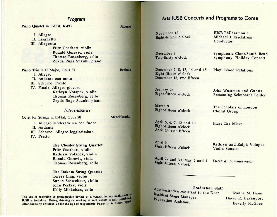## Program

Piano Quartet in E-Flat, K.493

- I Allegro
- II. Larghetto

III. Allegretto

Fritz Gearhart, violin Ronald Gorevic, viola Thomas Rosenberg, cello Zeyda Ruga Suzuki, piano

Piano Trio in C Major, Opus 87

I. Allegro II. Andante con moto

III. Scherzo: Presto IV. Finale: Allegro giocoso

Kathryn Votapek, violin Thomas Rosenberg, cello Zeyda Ruga Suzuki, piano

## Intermission

Octet for Strings in E-Flat, Opus 20

I. Allegro moderato ma con fuoco

II. Andante

III. Scherzo. Allegro leggierissimo

IV. Presto

**The Chester String Quartet**  Fritz Gearhart, violin Kathryn Votapek, violin Ronald Gorevic, viola Thomas Rosenberg, cello

**The Dakota String Quartet**  Teresa Ling, violin Suzon Schweitzer, violin John Peskey, viola Kelly Mikkelsen, cello

The use of recording or photographic devices at a concert in any auditorium IUSB is forbidden. Eating, drinking or smoking at such events is also prohibited. Attendance by children under the age of responsible behavior is discouraged.

## **Arts** IUSB Concerts and Programs to Come

**November** 18 **Eight-fifteen** o'clock

**Mozart** 

**Brahms** 

Mendelssohn

**December** 2 **Two-thirty** o'clock

**December** 7, 8, 13, 14 and 15 **Eight-fifteen** o'clock **December** 16, two-fifteen

**January** 26 **Eight-fifteen** o'clock

**March** 9 Eight-fifteen o'clock

**April** *5,* 6, 7, 12 and 13 Eight-fifteen o'clock April 14, two-fifteen

**April** 6 Eight-fifteen o'clock

April 27 and 30, May 2 and 4 **Eight-fifteen** o'clock

IUSB Philharmonic Michael J. Esselstrom, **Conductor** 

Symphonic Choir/South Bend Symphony, Holiday Concert

Play: Blood Relations

John Wustman and Guests Presenting Schubert's Leider

The Scholars of London Choral Group

Play: The Miser

Kathryn and Ralph Votapek Violin Sonatas

*Lucia di Lammermoor* 

Administration Staff Administrative Assistant to the Dean Resident Stage Manager<br>Production Assistant

Jeanne M. Dams David R. Davenport Beverly McGhee